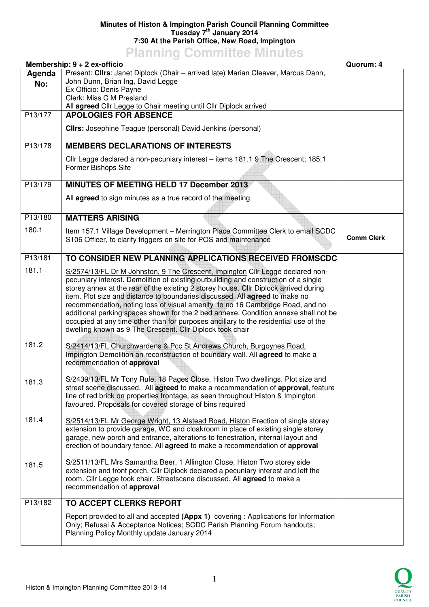## **Minutes of Histon & Impington Parish Council Planning Committee Tuesday 7th January 2014 7:30 At the Parish Office, New Road, Impington**

## **Planning Committee Minutes**

|         | Membership: 9 + 2 ex-officio                                                                                                                                                                                                                                                                                                                                                                                                                                                                                                                                                            | Quorum: 4         |
|---------|-----------------------------------------------------------------------------------------------------------------------------------------------------------------------------------------------------------------------------------------------------------------------------------------------------------------------------------------------------------------------------------------------------------------------------------------------------------------------------------------------------------------------------------------------------------------------------------------|-------------------|
| Agenda  | Present: Clirs: Janet Diplock (Chair - arrived late) Marian Cleaver, Marcus Dann,                                                                                                                                                                                                                                                                                                                                                                                                                                                                                                       |                   |
| No:     | John Dunn, Brian Ing, David Legge                                                                                                                                                                                                                                                                                                                                                                                                                                                                                                                                                       |                   |
|         | Ex Officio: Denis Payne<br>Clerk: Miss C M Presland                                                                                                                                                                                                                                                                                                                                                                                                                                                                                                                                     |                   |
|         | All agreed Cllr Legge to Chair meeting until Cllr Diplock arrived                                                                                                                                                                                                                                                                                                                                                                                                                                                                                                                       |                   |
| P13/177 | <b>APOLOGIES FOR ABSENCE</b>                                                                                                                                                                                                                                                                                                                                                                                                                                                                                                                                                            |                   |
|         | <b>Clirs:</b> Josephine Teague (personal) David Jenkins (personal)                                                                                                                                                                                                                                                                                                                                                                                                                                                                                                                      |                   |
| P13/178 | <b>MEMBERS DECLARATIONS OF INTERESTS</b>                                                                                                                                                                                                                                                                                                                                                                                                                                                                                                                                                |                   |
|         | Cllr Legge declared a non-pecuniary interest - items 181.1 9 The Crescent; 185.1<br>Former Bishops Site                                                                                                                                                                                                                                                                                                                                                                                                                                                                                 |                   |
| P13/179 | MINUTES OF MEETING HELD 17 December 2013                                                                                                                                                                                                                                                                                                                                                                                                                                                                                                                                                |                   |
|         | All agreed to sign minutes as a true record of the meeting                                                                                                                                                                                                                                                                                                                                                                                                                                                                                                                              |                   |
| P13/180 | <b>MATTERS ARISING</b>                                                                                                                                                                                                                                                                                                                                                                                                                                                                                                                                                                  |                   |
| 180.1   | Item 157.1 Village Development - Merrington Place Committee Clerk to email SCDC<br>S106 Officer, to clarify triggers on site for POS and maintenance                                                                                                                                                                                                                                                                                                                                                                                                                                    | <b>Comm Clerk</b> |
| P13/181 | TO CONSIDER NEW PLANNING APPLICATIONS RECEIVED FROMSCDC                                                                                                                                                                                                                                                                                                                                                                                                                                                                                                                                 |                   |
| 181.1   | S/2574/13/FL Dr M Johnston, 9 The Crescent, Impington Cllr Legge declared non-                                                                                                                                                                                                                                                                                                                                                                                                                                                                                                          |                   |
|         | pecuniary interest. Demolition of existing outbuilding and construction of a single<br>storey annex at the rear of the existing 2 storey house. Cllr Diplock arrived during<br>item. Plot size and distance to boundaries discussed. All agreed to make no<br>recommendation, noting loss of visual amenity to no 16 Cambridge Road, and no<br>additional parking spaces shown for the 2 bed annexe. Condition annexe shall not be<br>occupied at any time other than for purposes ancillary to the residential use of the<br>dwelling known as 9 The Crescent. Cllr Diplock took chair |                   |
| 181.2   | S/2414/13/FL Churchwardens & Pcc St Andrews Church, Burgoynes Road.<br>Impington Demolition an reconstruction of boundary wall. All agreed to make a<br>recommendation of approval                                                                                                                                                                                                                                                                                                                                                                                                      |                   |
| 181.3   | S/2439/13/FL Mr Tony Rule, 18 Pages Close, Histon Two dwellings. Plot size and<br>street scene discussed. All agreed to make a recommendation of approval, feature<br>line of red brick on properties frontage, as seen throughout Histon & Impington<br>favoured. Proposals for covered storage of bins required                                                                                                                                                                                                                                                                       |                   |
| 181.4   | S/2514/13/FL Mr George Wright, 13 Alstead Road, Histon Erection of single storey<br>extension to provide garage, WC and cloakroom in place of existing single storey<br>garage, new porch and entrance, alterations to fenestration, internal layout and<br>erection of boundary fence. All agreed to make a recommendation of approval                                                                                                                                                                                                                                                 |                   |
| 181.5   | S/2511/13/FL Mrs Samantha Beer, 1 Allington Close, Histon Two storey side<br>extension and front porch. Cllr Diplock declared a pecuniary interest and left the<br>room. Cllr Legge took chair. Streetscene discussed. All agreed to make a<br>recommendation of approval                                                                                                                                                                                                                                                                                                               |                   |
| P13/182 | TO ACCEPT CLERKS REPORT                                                                                                                                                                                                                                                                                                                                                                                                                                                                                                                                                                 |                   |
|         | Report provided to all and accepted (Appx 1) covering : Applications for Information<br>Only; Refusal & Acceptance Notices; SCDC Parish Planning Forum handouts;<br>Planning Policy Monthly update January 2014                                                                                                                                                                                                                                                                                                                                                                         |                   |